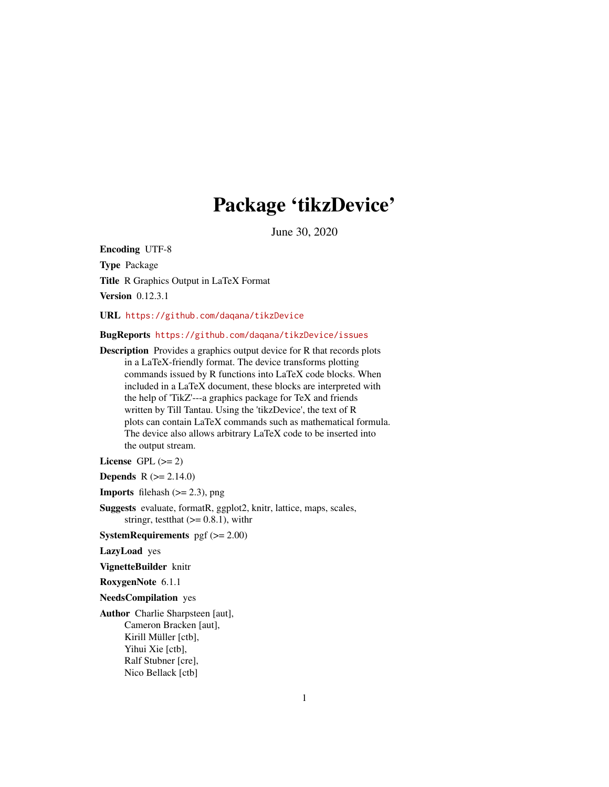## Package 'tikzDevice'

June 30, 2020

<span id="page-0-0"></span>Encoding UTF-8 Type Package Title R Graphics Output in LaTeX Format Version 0.12.3.1

URL <https://github.com/daqana/tikzDevice>

#### BugReports <https://github.com/daqana/tikzDevice/issues>

Description Provides a graphics output device for R that records plots in a LaTeX-friendly format. The device transforms plotting commands issued by R functions into LaTeX code blocks. When included in a LaTeX document, these blocks are interpreted with the help of 'TikZ'---a graphics package for TeX and friends written by Till Tantau. Using the 'tikzDevice', the text of R plots can contain LaTeX commands such as mathematical formula. The device also allows arbitrary LaTeX code to be inserted into the output stream.

License GPL  $(>= 2)$ 

**Depends**  $R (= 2.14.0)$ 

**Imports** filehash  $(>= 2.3)$ , png

Suggests evaluate, formatR, ggplot2, knitr, lattice, maps, scales, stringr, test that  $(>= 0.8.1)$ , with r

**SystemRequirements** pgf  $(>= 2.00)$ 

LazyLoad yes

VignetteBuilder knitr

RoxygenNote 6.1.1

NeedsCompilation yes

Author Charlie Sharpsteen [aut], Cameron Bracken [aut], Kirill Müller [ctb], Yihui Xie [ctb], Ralf Stubner [cre], Nico Bellack [ctb]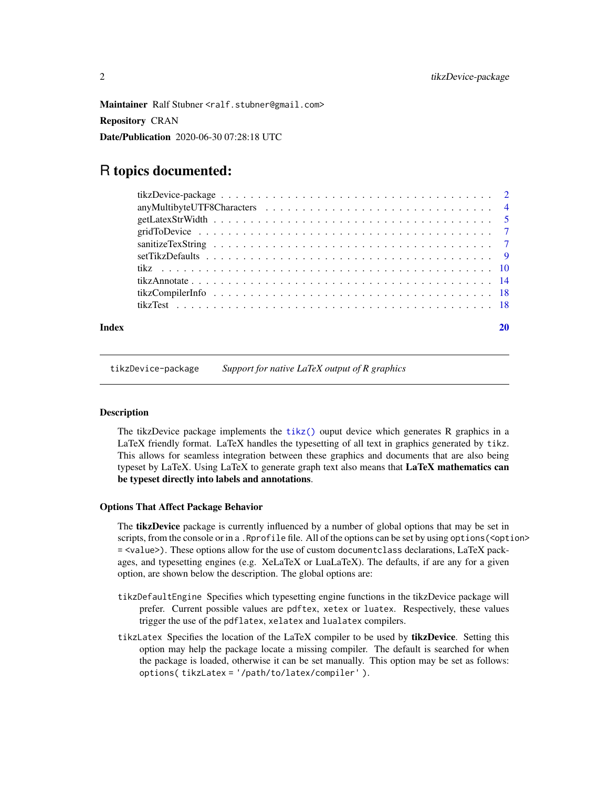<span id="page-1-0"></span>Maintainer Ralf Stubner <ralf.stubner@gmail.com> Repository CRAN Date/Publication 2020-06-30 07:28:18 UTC

## R topics documented:

| Index |  |
|-------|--|

<span id="page-1-1"></span>tikzDevice-package *Support for native LaTeX output of R graphics*

#### **Description**

The tikzDevice package implements the  $tikz()$  ouput device which generates R graphics in a LaTeX friendly format. LaTeX handles the typesetting of all text in graphics generated by tikz. This allows for seamless integration between these graphics and documents that are also being typeset by LaTeX. Using LaTeX to generate graph text also means that LaTeX mathematics can be typeset directly into labels and annotations.

### Options That Affect Package Behavior

The **tikzDevice** package is currently influenced by a number of global options that may be set in scripts, from the console or in a . Rprofile file. All of the options can be set by using options (<option> = <value>). These options allow for the use of custom documentclass declarations, LaTeX packages, and typesetting engines (e.g. XeLaTeX or LuaLaTeX). The defaults, if are any for a given option, are shown below the description. The global options are:

- tikzDefaultEngine Specifies which typesetting engine functions in the tikzDevice package will prefer. Current possible values are pdftex, xetex or luatex. Respectively, these values trigger the use of the pdflatex, xelatex and lualatex compilers.
- tikzLatex Specifies the location of the LaTeX compiler to be used by tikzDevice. Setting this option may help the package locate a missing compiler. The default is searched for when the package is loaded, otherwise it can be set manually. This option may be set as follows: options( tikzLatex = '/path/to/latex/compiler' ).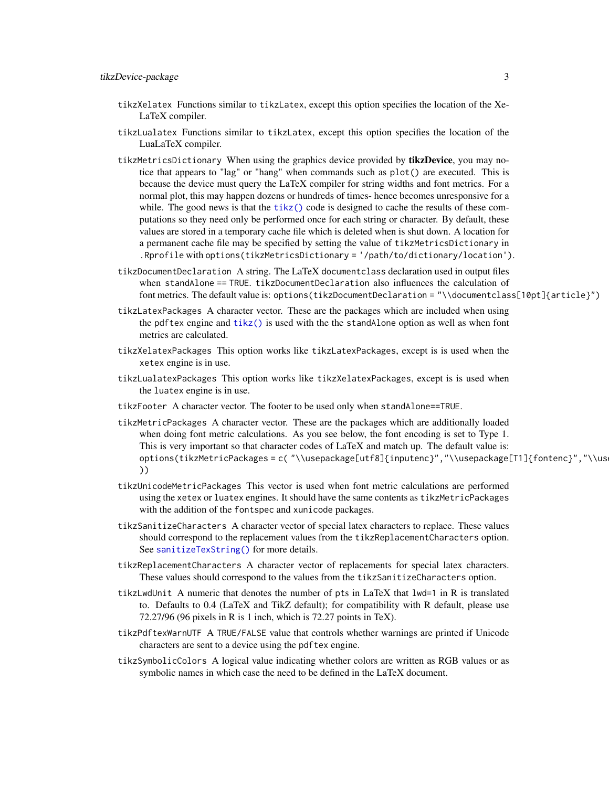- <span id="page-2-0"></span>tikzXelatex Functions similar to tikzLatex, except this option specifies the location of the Xe-LaTeX compiler.
- tikzLualatex Functions similar to tikzLatex, except this option specifies the location of the LuaLaTeX compiler.
- tikzMetricsDictionary When using the graphics device provided by tikzDevice, you may notice that appears to "lag" or "hang" when commands such as plot() are executed. This is because the device must query the LaTeX compiler for string widths and font metrics. For a normal plot, this may happen dozens or hundreds of times- hence becomes unresponsive for a while. The good news is that the  $tikz()$  code is designed to cache the results of these computations so they need only be performed once for each string or character. By default, these values are stored in a temporary cache file which is deleted when is shut down. A location for a permanent cache file may be specified by setting the value of tikzMetricsDictionary in .Rprofile with options(tikzMetricsDictionary = '/path/to/dictionary/location').
- tikzDocumentDeclaration A string. The LaTeX documentclass declaration used in output files when standAlone == TRUE. tikzDocumentDeclaration also influences the calculation of font metrics. The default value is: options(tikzDocumentDeclaration = "\\documentclass[10pt]{article}")
- tikzLatexPackages A character vector. These are the packages which are included when using the pdftex engine and [tikz\(\)](#page-9-1) is used with the the standAlone option as well as when font metrics are calculated.
- tikzXelatexPackages This option works like tikzLatexPackages, except is is used when the xetex engine is in use.
- tikzLualatexPackages This option works like tikzXelatexPackages, except is is used when the luatex engine is in use.
- tikzFooter A character vector. The footer to be used only when standAlone==TRUE.
- tikzMetricPackages A character vector. These are the packages which are additionally loaded when doing font metric calculations. As you see below, the font encoding is set to Type 1. This is very important so that character codes of LaTeX and match up. The default value is: options(tikzMetricPackages = c( "\\usepackage[utf8]{inputenc}","\\usepackage[T1]{fontenc}","\\us ))
- tikzUnicodeMetricPackages This vector is used when font metric calculations are performed using the xetex or luatex engines. It should have the same contents as tikzMetricPackages with the addition of the fontspec and xunicode packages.
- tikzSanitizeCharacters A character vector of special latex characters to replace. These values should correspond to the replacement values from the tikzReplacementCharacters option. See [sanitizeTexString\(\)](#page-6-1) for more details.
- tikzReplacementCharacters A character vector of replacements for special latex characters. These values should correspond to the values from the tikzSanitizeCharacters option.
- tikzLwdUnit A numeric that denotes the number of pts in LaTeX that lwd=1 in R is translated to. Defaults to 0.4 (LaTeX and TikZ default); for compatibility with R default, please use 72.27/96 (96 pixels in R is 1 inch, which is 72.27 points in TeX).
- tikzPdftexWarnUTF A TRUE/FALSE value that controls whether warnings are printed if Unicode characters are sent to a device using the pdftex engine.
- tikzSymbolicColors A logical value indicating whether colors are written as RGB values or as symbolic names in which case the need to be defined in the LaTeX document.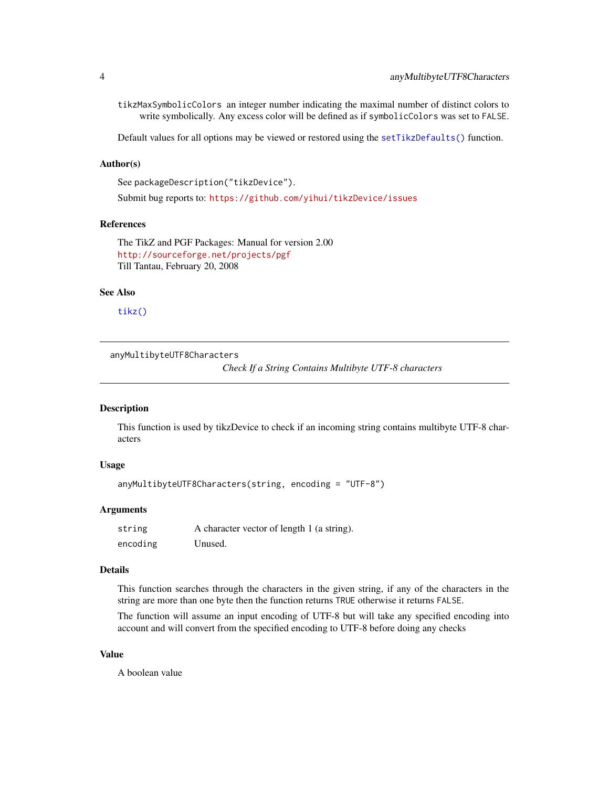<span id="page-3-0"></span>tikzMaxSymbolicColors an integer number indicating the maximal number of distinct colors to write symbolically. Any excess color will be defined as if symbolicColors was set to FALSE.

Default values for all options may be viewed or restored using the [setTikzDefaults\(\)](#page-8-1) function.

## Author(s)

```
See packageDescription("tikzDevice").
```
Submit bug reports to: <https://github.com/yihui/tikzDevice/issues>

## References

The TikZ and PGF Packages: Manual for version 2.00 <http://sourceforge.net/projects/pgf> Till Tantau, February 20, 2008

#### See Also

[tikz\(\)](#page-9-1)

anyMultibyteUTF8Characters

*Check If a String Contains Multibyte UTF-8 characters*

#### Description

This function is used by tikzDevice to check if an incoming string contains multibyte UTF-8 characters

## Usage

```
anyMultibyteUTF8Characters(string, encoding = "UTF-8")
```
## Arguments

| string   | A character vector of length 1 (a string). |
|----------|--------------------------------------------|
| encoding | Unused.                                    |

### Details

This function searches through the characters in the given string, if any of the characters in the string are more than one byte then the function returns TRUE otherwise it returns FALSE.

The function will assume an input encoding of UTF-8 but will take any specified encoding into account and will convert from the specified encoding to UTF-8 before doing any checks

#### Value

A boolean value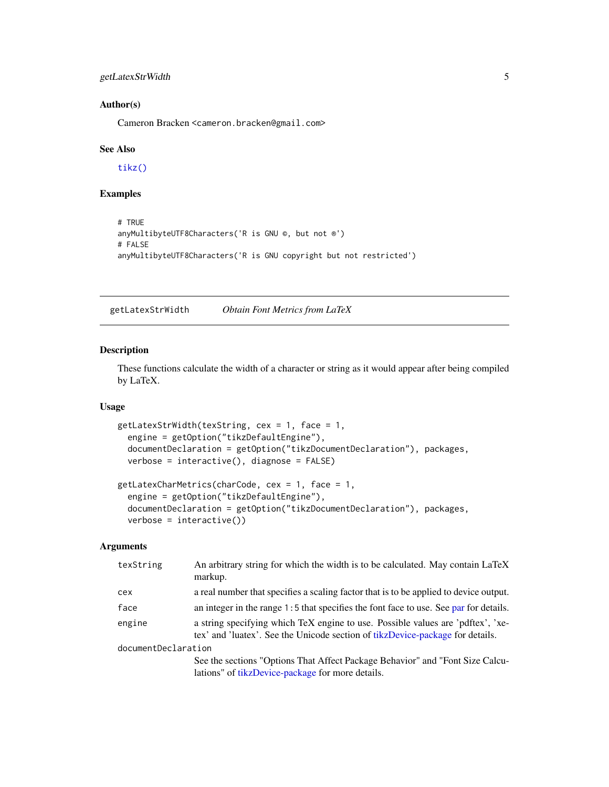## <span id="page-4-0"></span>getLatexStrWidth 5

## Author(s)

Cameron Bracken <cameron.bracken@gmail.com>

#### See Also

[tikz\(\)](#page-9-1)

## Examples

```
# TRUE
anyMultibyteUTF8Characters('R is GNU ©, but not ®')
# FALSE
anyMultibyteUTF8Characters('R is GNU copyright but not restricted')
```
<span id="page-4-2"></span>getLatexStrWidth *Obtain Font Metrics from LaTeX*

## <span id="page-4-1"></span>Description

These functions calculate the width of a character or string as it would appear after being compiled by LaTeX.

#### Usage

```
getLatexStrWidth(texString, cex = 1, face = 1,
  engine = getOption("tikzDefaultEngine"),
  documentDeclaration = getOption("tikzDocumentDeclaration"), packages,
  verbose = interactive(), diagnose = FALSE)
getLatexCharMetrics(charCode, cex = 1, face = 1,
  engine = getOption("tikzDefaultEngine"),
  documentDeclaration = getOption("tikzDocumentDeclaration"), packages,
  verbose = interface()
```
## Arguments

| texString           | An arbitrary string for which the width is to be calculated. May contain LaTeX<br>markup.                                                                        |
|---------------------|------------------------------------------------------------------------------------------------------------------------------------------------------------------|
| cex                 | a real number that specifies a scaling factor that is to be applied to device output.                                                                            |
| face                | an integer in the range $1:5$ that specifies the font face to use. See par for details.                                                                          |
| engine              | a string specifying which TeX engine to use. Possible values are 'pdftex', 'xe-<br>tex' and 'luatex'. See the Unicode section of tikzDevice-package for details. |
| documentDeclaration |                                                                                                                                                                  |
|                     | See the sections "Options That Affect Package Behavior" and "Font Size Calcu-<br>lations" of tikzDevice-package for more details.                                |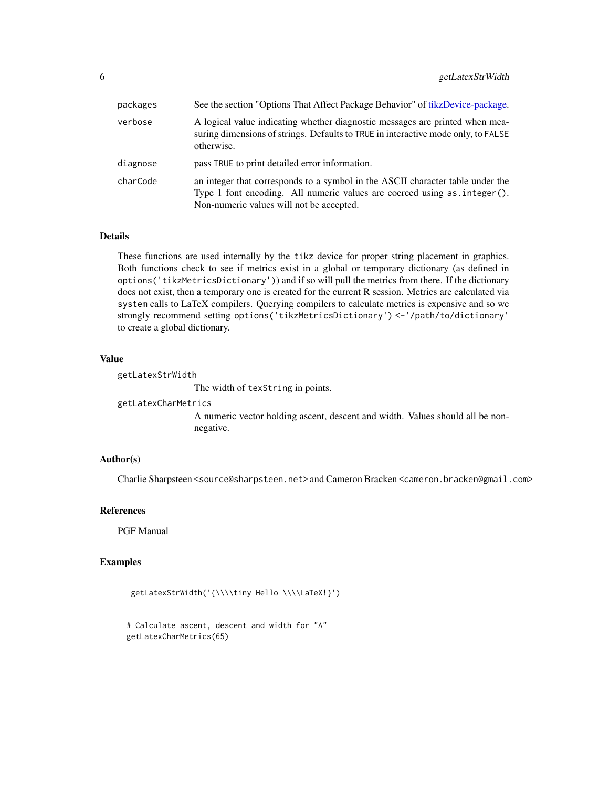<span id="page-5-0"></span>

| packages | See the section "Options That Affect Package Behavior" of tikzDevice-package.                                                                                                                             |
|----------|-----------------------------------------------------------------------------------------------------------------------------------------------------------------------------------------------------------|
| verbose  | A logical value indicating whether diagnostic messages are printed when mea-<br>suring dimensions of strings. Defaults to TRUE in interactive mode only, to FALSE<br>otherwise.                           |
| diagnose | pass TRUE to print detailed error information.                                                                                                                                                            |
| charCode | an integer that corresponds to a symbol in the ASCII character table under the<br>Type 1 font encoding. All numeric values are coerced using as . integer ().<br>Non-numeric values will not be accepted. |

## Details

These functions are used internally by the tikz device for proper string placement in graphics. Both functions check to see if metrics exist in a global or temporary dictionary (as defined in options('tikzMetricsDictionary')) and if so will pull the metrics from there. If the dictionary does not exist, then a temporary one is created for the current R session. Metrics are calculated via system calls to LaTeX compilers. Querying compilers to calculate metrics is expensive and so we strongly recommend setting options('tikzMetricsDictionary') <-'/path/to/dictionary' to create a global dictionary.

#### Value

getLatexStrWidth

The width of texString in points.

getLatexCharMetrics

A numeric vector holding ascent, descent and width. Values should all be nonnegative.

#### Author(s)

Charlie Sharpsteen <source@sharpsteen.net> and Cameron Bracken <cameron.bracken@gmail.com>

#### References

PGF Manual

## Examples

```
getLatexStrWidth('{\\\\tiny Hello \\\\LaTeX!}')
```

```
# Calculate ascent, descent and width for "A"
getLatexCharMetrics(65)
```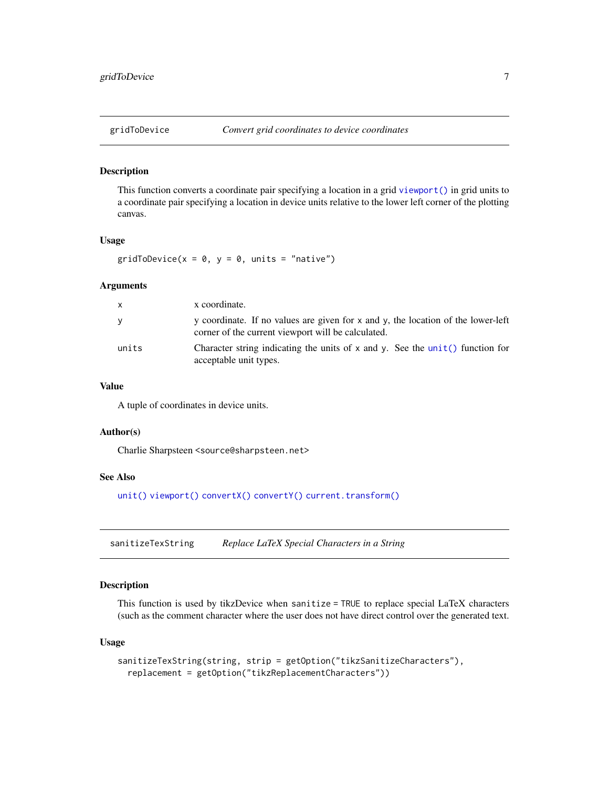#### <span id="page-6-2"></span><span id="page-6-0"></span>Description

This function converts a coordinate pair specifying a location in a grid [viewport\(\)](#page-0-0) in grid units to a coordinate pair specifying a location in device units relative to the lower left corner of the plotting canvas.

## Usage

gridToDevice( $x = 0$ ,  $y = 0$ , units = "native")

#### Arguments

| X     | x coordinate.                                                                                                                          |
|-------|----------------------------------------------------------------------------------------------------------------------------------------|
| v     | y coordinate. If no values are given for x and y, the location of the lower-left<br>corner of the current viewport will be calculated. |
| units | Character string indicating the units of $x$ and $y$ . See the unit () function for<br>acceptable unit types.                          |

## Value

A tuple of coordinates in device units.

#### Author(s)

Charlie Sharpsteen <source@sharpsteen.net>

#### See Also

[unit\(\)](#page-0-0) [viewport\(\)](#page-0-0) [convertX\(\)](#page-0-0) [convertY\(\)](#page-0-0) [current.transform\(\)](#page-0-0)

<span id="page-6-1"></span>sanitizeTexString *Replace LaTeX Special Characters in a String*

## Description

This function is used by tikzDevice when sanitize = TRUE to replace special LaTeX characters (such as the comment character where the user does not have direct control over the generated text.

#### Usage

```
sanitizeTexString(string, strip = getOption("tikzSanitizeCharacters"),
  replacement = getOption("tikzReplacementCharacters"))
```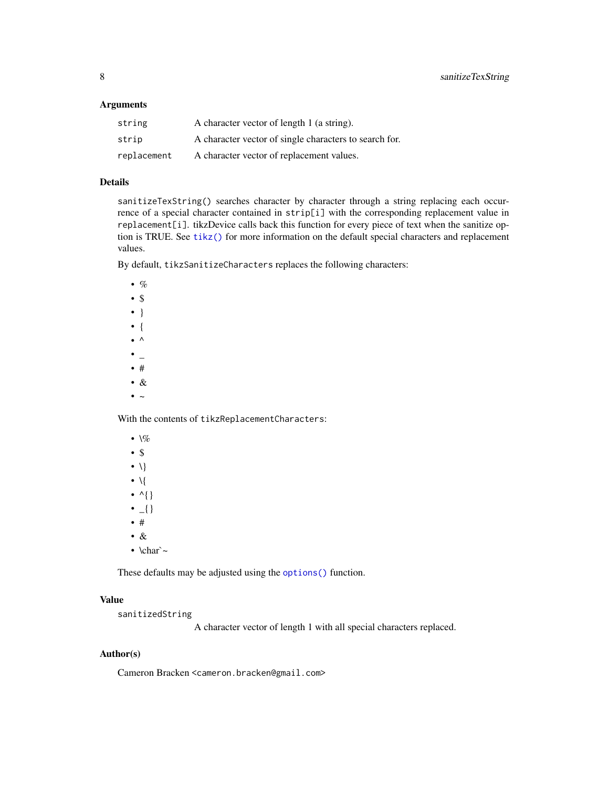#### <span id="page-7-0"></span>Arguments

| string      | A character vector of length 1 (a string).             |
|-------------|--------------------------------------------------------|
| strip       | A character vector of single characters to search for. |
| replacement | A character vector of replacement values.              |

## Details

sanitizeTexString() searches character by character through a string replacing each occurrence of a special character contained in strip[i] with the corresponding replacement value in replacement[i]. tikzDevice calls back this function for every piece of text when the sanitize option is TRUE. See [tikz\(\)](#page-9-1) for more information on the default special characters and replacement values.

By default, tikzSanitizeCharacters replaces the following characters:

 $\bullet$  % • \$ • } • {  $\bullet$  ^  $\bullet$   $\overline{\phantom{0}}$ • # • &

 $\bullet$  ~

With the contents of tikzReplacementCharacters:

- $\sqrt{\%}$
- \$
- $\bullet$  \}
- $\bullet$  \{
- $\bullet$  ^{}
- $\bullet$   $_{-}$ {}
- #
- &
- $\char'$

These defaults may be adjusted using the [options\(\)](#page-0-0) function.

## Value

sanitizedString

A character vector of length 1 with all special characters replaced.

## Author(s)

Cameron Bracken <cameron.bracken@gmail.com>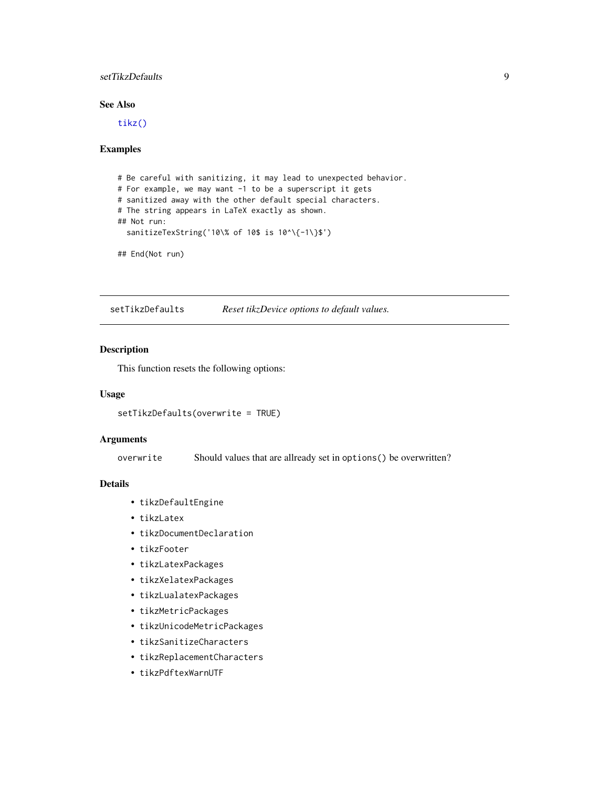## <span id="page-8-0"></span>setTikzDefaults 9

## See Also

[tikz\(\)](#page-9-1)

#### Examples

```
# Be careful with sanitizing, it may lead to unexpected behavior.
# For example, we may want -1 to be a superscript it gets
# sanitized away with the other default special characters.
# The string appears in LaTeX exactly as shown.
## Not run:
  sanitizeTexString('10\% of 10$ is 10^\{-1\}$')
## End(Not run)
```
<span id="page-8-1"></span>setTikzDefaults *Reset tikzDevice options to default values.*

## Description

This function resets the following options:

#### Usage

setTikzDefaults(overwrite = TRUE)

#### Arguments

overwrite Should values that are allready set in options() be overwritten?

### Details

- tikzDefaultEngine
- tikzLatex
- tikzDocumentDeclaration
- tikzFooter
- tikzLatexPackages
- tikzXelatexPackages
- tikzLualatexPackages
- tikzMetricPackages
- tikzUnicodeMetricPackages
- tikzSanitizeCharacters
- tikzReplacementCharacters
- tikzPdftexWarnUTF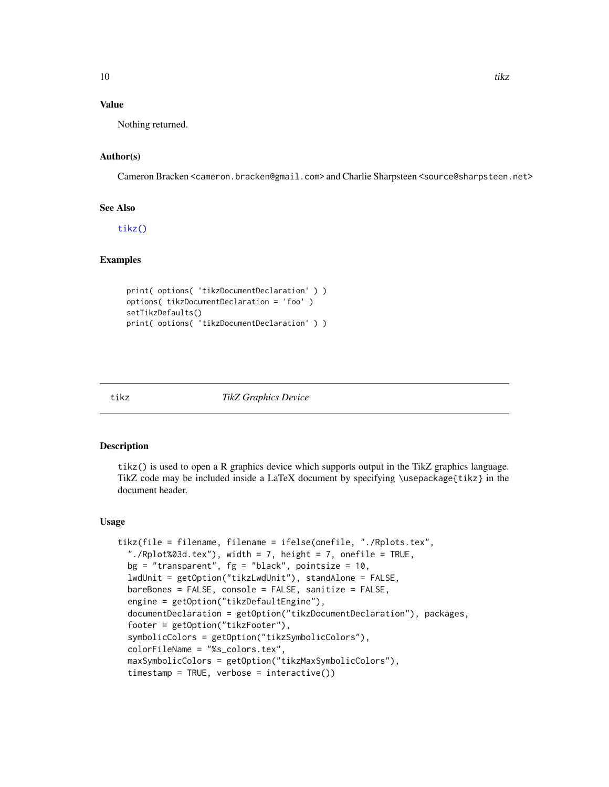## <span id="page-9-0"></span>Value

Nothing returned.

## Author(s)

Cameron Bracken <cameron.bracken@gmail.com> and Charlie Sharpsteen <source@sharpsteen.net>

## See Also

[tikz\(\)](#page-9-1)

## Examples

```
print( options( 'tikzDocumentDeclaration' ) )
options( tikzDocumentDeclaration = 'foo' )
setTikzDefaults()
print( options( 'tikzDocumentDeclaration' ) )
```
<span id="page-9-1"></span>

#### tikz *TikZ Graphics Device*

### Description

tikz() is used to open a R graphics device which supports output in the TikZ graphics language. TikZ code may be included inside a LaTeX document by specifying \usepackage{tikz} in the document header.

#### Usage

```
tikz(file = filename, filename = ifelse(onefile, "./Rplots.tex",
 "./Rplot%03d.tex"), width = 7, height = 7, onefile = TRUE,
 bg = "transparent", fg = "black", point size = 10,lwdUnit = getOption("tikzLwdUnit"), standAlone = FALSE,
 bareBones = FALSE, console = FALSE, sanitize = FALSE,
 engine = getOption("tikzDefaultEngine"),
 documentDeclaration = getOption("tikzDocumentDeclaration"), packages,
 footer = getOption("tikzFooter"),
 symbolicColors = getOption("tikzSymbolicColors"),
 colorFileName = "%s_colors.tex",
 maxSymbolicColors = getOption("tikzMaxSymbolicColors"),
 timestamp = TRUE, verbose = interactive())
```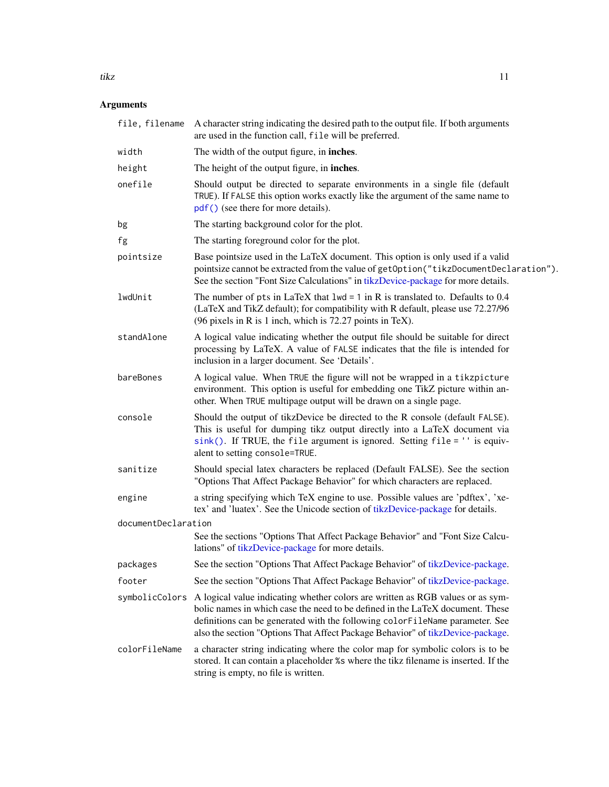#### <span id="page-10-0"></span>tikz tieta antzera eta aldean zuen bat zuen bat zuen bat zuen bat zuen bat zuen bat zuen bat zuen bat zuen bat

## Arguments

|                     | file, filename A character string indicating the desired path to the output file. If both arguments<br>are used in the function call, file will be preferred.                                                                                                                                                                     |
|---------------------|-----------------------------------------------------------------------------------------------------------------------------------------------------------------------------------------------------------------------------------------------------------------------------------------------------------------------------------|
| width               | The width of the output figure, in <b>inches</b> .                                                                                                                                                                                                                                                                                |
| height              | The height of the output figure, in <b>inches</b> .                                                                                                                                                                                                                                                                               |
| onefile             | Should output be directed to separate environments in a single file (default<br>TRUE). If FALSE this option works exactly like the argument of the same name to<br>pdf() (see there for more details).                                                                                                                            |
| bg                  | The starting background color for the plot.                                                                                                                                                                                                                                                                                       |
| fg                  | The starting foreground color for the plot.                                                                                                                                                                                                                                                                                       |
| pointsize           | Base pointsize used in the LaTeX document. This option is only used if a valid<br>pointsize cannot be extracted from the value of getOption("tikzDocumentDeclaration").<br>See the section "Font Size Calculations" in tikzDevice-package for more details.                                                                       |
| lwdUnit             | The number of pts in LaTeX that $1wd = 1$ in R is translated to. Defaults to 0.4<br>(LaTeX and TikZ default); for compatibility with R default, please use 72.27/96<br>(96 pixels in R is 1 inch, which is 72.27 points in TeX).                                                                                                  |
| standAlone          | A logical value indicating whether the output file should be suitable for direct<br>processing by LaTeX. A value of FALSE indicates that the file is intended for<br>inclusion in a larger document. See 'Details'.                                                                                                               |
| bareBones           | A logical value. When TRUE the figure will not be wrapped in a tikzpicture<br>environment. This option is useful for embedding one TikZ picture within an-<br>other. When TRUE multipage output will be drawn on a single page.                                                                                                   |
| console             | Should the output of tikzDevice be directed to the R console (default FALSE).<br>This is useful for dumping tikz output directly into a LaTeX document via<br>sink(). If TRUE, the file argument is ignored. Setting file = '' is equiv-<br>alent to setting console=TRUE.                                                        |
| sanitize            | Should special latex characters be replaced (Default FALSE). See the section<br>"Options That Affect Package Behavior" for which characters are replaced.                                                                                                                                                                         |
| engine              | a string specifying which TeX engine to use. Possible values are 'pdftex', 'xe-<br>tex' and 'luatex'. See the Unicode section of tikzDevice-package for details.                                                                                                                                                                  |
| documentDeclaration |                                                                                                                                                                                                                                                                                                                                   |
|                     | See the sections "Options That Affect Package Behavior" and "Font Size Calcu-<br>lations" of tikzDevice-package for more details.                                                                                                                                                                                                 |
| packages            | See the section "Options That Affect Package Behavior" of tikzDevice-package.                                                                                                                                                                                                                                                     |
| footer              | See the section "Options That Affect Package Behavior" of tikzDevice-package.                                                                                                                                                                                                                                                     |
| symbolicColors      | A logical value indicating whether colors are written as RGB values or as sym-<br>bolic names in which case the need to be defined in the LaTeX document. These<br>definitions can be generated with the following colorFileName parameter. See<br>also the section "Options That Affect Package Behavior" of tikzDevice-package. |
| colorFileName       | a character string indicating where the color map for symbolic colors is to be<br>stored. It can contain a placeholder %s where the tikz filename is inserted. If the<br>string is empty, no file is written.                                                                                                                     |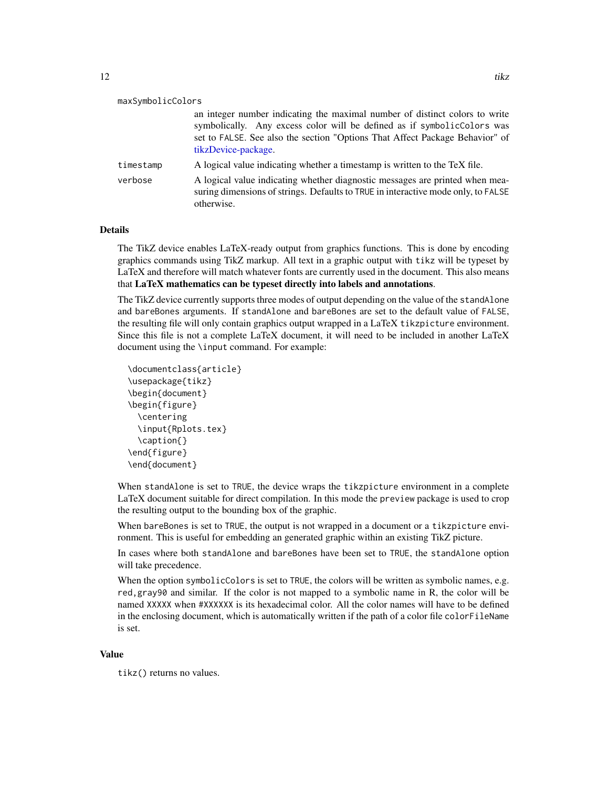<span id="page-11-0"></span>

| maxSymbolicColors |                                                                              |
|-------------------|------------------------------------------------------------------------------|
|                   | an integer number indicating the maximal number of distinct colors to write  |
|                   | symbolically. Any excess color will be defined as if symbolic Colors was     |
|                   | set to FALSE. See also the section "Options That Affect Package Behavior" of |

[tikzDevice-package.](#page-1-1) timestamp A logical value indicating whether a timestamp is written to the TeX file. verbose A logical value indicating whether diagnostic messages are printed when measuring dimensions of strings. Defaults to TRUE in interactive mode only, to FALSE

## Details

The TikZ device enables LaTeX-ready output from graphics functions. This is done by encoding graphics commands using TikZ markup. All text in a graphic output with tikz will be typeset by LaTeX and therefore will match whatever fonts are currently used in the document. This also means that LaTeX mathematics can be typeset directly into labels and annotations.

The TikZ device currently supports three modes of output depending on the value of the standAlone and bareBones arguments. If standAlone and bareBones are set to the default value of FALSE, the resulting file will only contain graphics output wrapped in a LaTeX tikzpicture environment. Since this file is not a complete LaTeX document, it will need to be included in another LaTeX document using the \input command. For example:

```
\documentclass{article}
\usepackage{tikz}
\begin{document}
\begin{figure}
  \centering
  \input{Rplots.tex}
  \caption{}
\end{figure}
\end{document}
```
otherwise.

When standAlone is set to TRUE, the device wraps the tikzpicture environment in a complete LaTeX document suitable for direct compilation. In this mode the preview package is used to crop the resulting output to the bounding box of the graphic.

When bareBones is set to TRUE, the output is not wrapped in a document or a tikzpicture environment. This is useful for embedding an generated graphic within an existing TikZ picture.

In cases where both standAlone and bareBones have been set to TRUE, the standAlone option will take precedence.

When the option symbolicColors is set to TRUE, the colors will be written as symbolic names, e.g. red,gray90 and similar. If the color is not mapped to a symbolic name in R, the color will be named XXXXX when #XXXXXX is its hexadecimal color. All the color names will have to be defined in the enclosing document, which is automatically written if the path of a color file colorFileName is set.

#### Value

tikz() returns no values.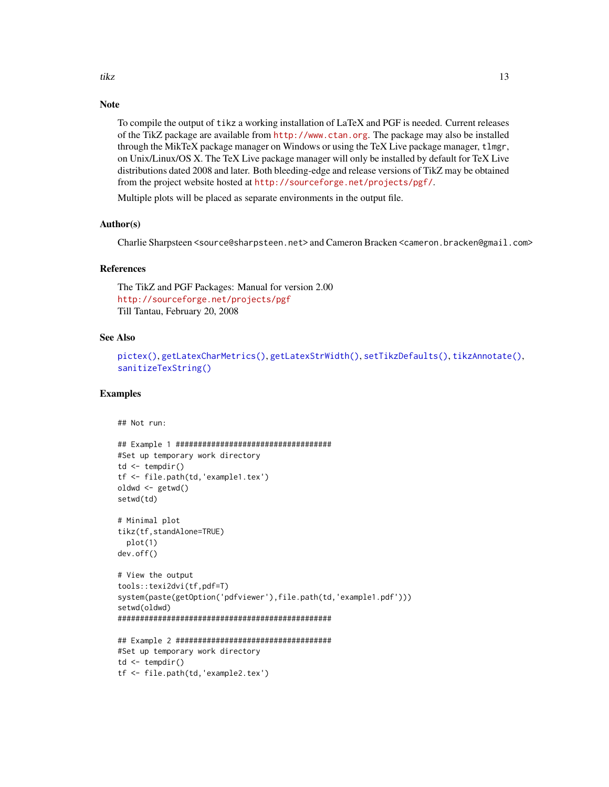## <span id="page-12-0"></span>Note

To compile the output of tikz a working installation of LaTeX and PGF is needed. Current releases of the TikZ package are available from <http://www.ctan.org>. The package may also be installed through the MikTeX package manager on Windows or using the TeX Live package manager, tlmgr, on Unix/Linux/OS X. The TeX Live package manager will only be installed by default for TeX Live distributions dated 2008 and later. Both bleeding-edge and release versions of TikZ may be obtained from the project website hosted at <http://sourceforge.net/projects/pgf/>.

Multiple plots will be placed as separate environments in the output file.

## Author(s)

Charlie Sharpsteen <source@sharpsteen.net> and Cameron Bracken <cameron.bracken@gmail.com>

## References

The TikZ and PGF Packages: Manual for version 2.00 <http://sourceforge.net/projects/pgf> Till Tantau, February 20, 2008

#### See Also

```
pictex(), getLatexCharMetrics(), getLatexStrWidth(), setTikzDefaults(), tikzAnnotate(),
sanitizeTexString()
```
#### Examples

```
## Not run:
```

```
## Example 1 ###################################
#Set up temporary work directory
td \leftarrow tempdir()tf <- file.path(td,'example1.tex')
oldwd <- getwd()
setwd(td)
# Minimal plot
tikz(tf,standAlone=TRUE)
 plot(1)
dev.off()
# View the output
tools::texi2dvi(tf,pdf=T)
system(paste(getOption('pdfviewer'),file.path(td,'example1.pdf')))
setwd(oldwd)
################################################
## Example 2 ###################################
#Set up temporary work directory
```

```
td \leftarrow tempdir()tf <- file.path(td,'example2.tex')
```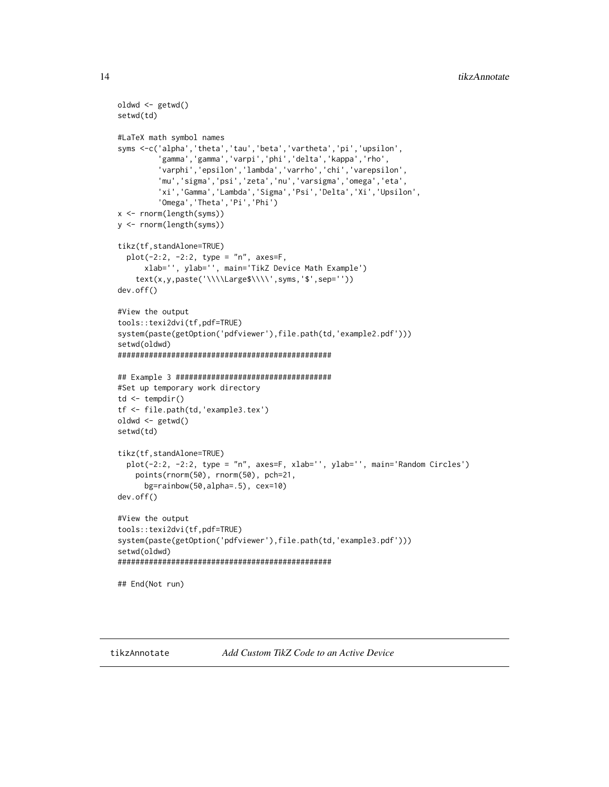```
oldwd <- getwd()
setwd(td)
#LaTeX math symbol names
syms <-c('alpha','theta','tau','beta','vartheta','pi','upsilon',
         'gamma','gamma','varpi','phi','delta','kappa','rho',
         'varphi','epsilon','lambda','varrho','chi','varepsilon',
         'mu','sigma','psi','zeta','nu','varsigma','omega','eta',
         'xi','Gamma','Lambda','Sigma','Psi','Delta','Xi','Upsilon',
         'Omega','Theta','Pi','Phi')
x <- rnorm(length(syms))
y <- rnorm(length(syms))
tikz(tf,standAlone=TRUE)
 plot(-2:2, -2:2, type = "n", axes=F,
     xlab='', ylab='', main='TikZ Device Math Example')
    text(x,y,paste('\\\\Large$\\\\',syms,'$',sep=''))
dev.off()
#View the output
tools::texi2dvi(tf,pdf=TRUE)
system(paste(getOption('pdfviewer'),file.path(td,'example2.pdf')))
setwd(oldwd)
################################################
## Example 3 ###################################
#Set up temporary work directory
td \leftarrow tempdir()tf <- file.path(td,'example3.tex')
oldwd <- getwd()
setwd(td)
tikz(tf,standAlone=TRUE)
 plot(-2:2, -2:2, type = "n", axes=F, xlab='', ylab='', main='Random Circles')
   points(rnorm(50), rnorm(50), pch=21,
     bg=rainbow(50,alpha=.5), cex=10)
dev.off()
#View the output
tools::texi2dvi(tf,pdf=TRUE)
system(paste(getOption('pdfviewer'),file.path(td,'example3.pdf')))
setwd(oldwd)
################################################
## End(Not run)
```
<span id="page-13-1"></span>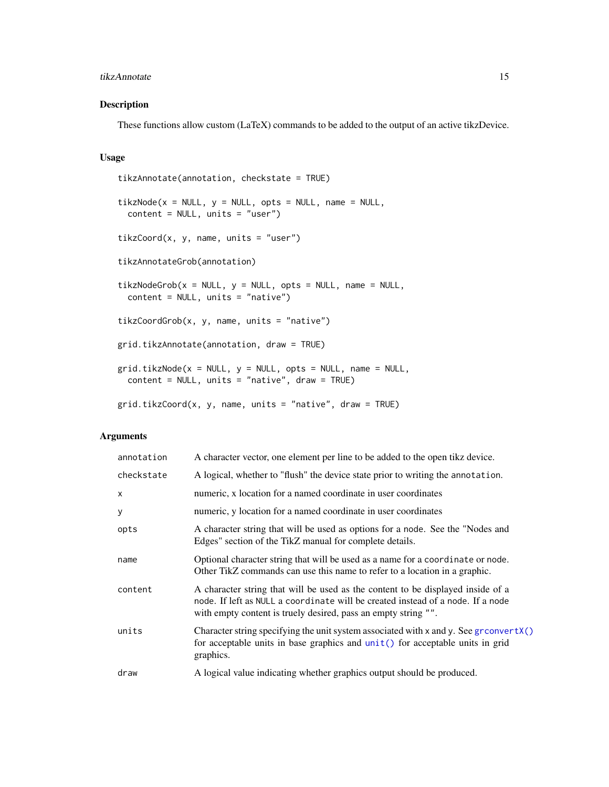#### <span id="page-14-0"></span>tikzAnnotate 15

## Description

These functions allow custom (LaTeX) commands to be added to the output of an active tikzDevice.

## Usage

```
tikzAnnotate(annotation, checkstate = TRUE)
tikzNode(x = NULL, y = NULL, opts = NULL, name = NULL,content = NULL, units = "user")
tikzCoord(x, y, name, units = "user")tikzAnnotateGrob(annotation)
tikzNodeGrob(x = NULL, y = NULL, opts = NULL, name = NULL,content = NULL, units = "native")
tikzCoordGrob(x, y, name, units = "native")
grid.tikzAnnotate(annotation, draw = TRUE)
grid.tikzNode(x = NULL, y = NULL, opts = NULL, name = NULL,content = NULL, units = "native", draw = TRUE)
grid.tikzCoord(x, y, name, units = "native", draw = TRUE)
```
## Arguments

| annotation   | A character vector, one element per line to be added to the open tikz device.                                                                                                                                                        |
|--------------|--------------------------------------------------------------------------------------------------------------------------------------------------------------------------------------------------------------------------------------|
| checkstate   | A logical, whether to "flush" the device state prior to writing the annotation.                                                                                                                                                      |
| $\mathsf{x}$ | numeric, x location for a named coordinate in user coordinates                                                                                                                                                                       |
| y            | numeric, y location for a named coordinate in user coordinates                                                                                                                                                                       |
| opts         | A character string that will be used as options for a node. See the "Nodes and<br>Edges" section of the TikZ manual for complete details.                                                                                            |
| name         | Optional character string that will be used as a name for a coordinate or node.<br>Other TikZ commands can use this name to refer to a location in a graphic.                                                                        |
| content      | A character string that will be used as the content to be displayed inside of a<br>node. If left as NULL a coordinate will be created instead of a node. If a node<br>with empty content is truely desired, pass an empty string "". |
| units        | Character string specifying the unit system associated with x and y. See gr convert $X()$<br>for acceptable units in base graphics and unit() for acceptable units in grid<br>graphics.                                              |
| draw         | A logical value indicating whether graphics output should be produced.                                                                                                                                                               |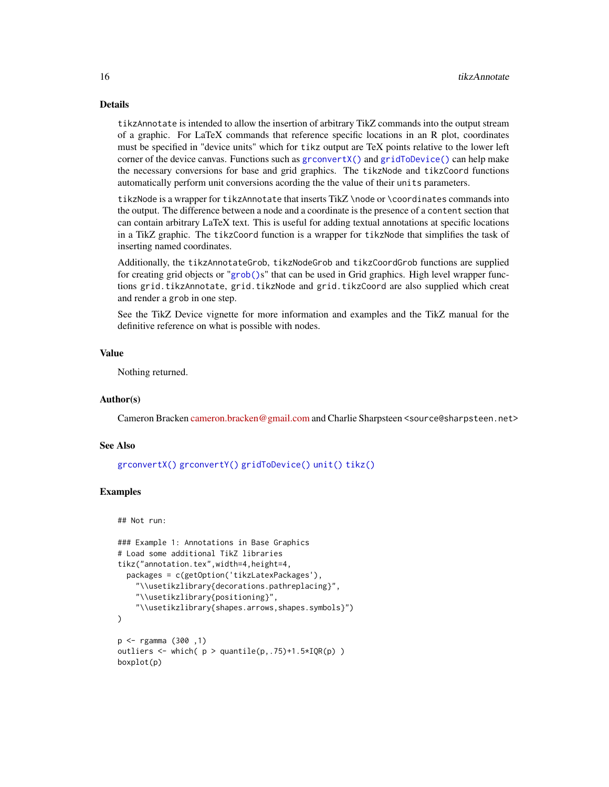## Details

tikzAnnotate is intended to allow the insertion of arbitrary TikZ commands into the output stream of a graphic. For LaTeX commands that reference specific locations in an R plot, coordinates must be specified in "device units" which for tikz output are TeX points relative to the lower left corner of the device canvas. Functions such as [grconvertX\(\)](#page-0-0) and [gridToDevice\(\)](#page-6-2) can help make the necessary conversions for base and grid graphics. The tikzNode and tikzCoord functions automatically perform unit conversions acording the the value of their units parameters.

tikzNode is a wrapper for tikzAnnotate that inserts TikZ \node or \coordinates commands into the output. The difference between a node and a coordinate is the presence of a content section that can contain arbitrary LaTeX text. This is useful for adding textual annotations at specific locations in a TikZ graphic. The tikzCoord function is a wrapper for tikzNode that simplifies the task of inserting named coordinates.

Additionally, the tikzAnnotateGrob, tikzNodeGrob and tikzCoordGrob functions are supplied for creating grid objects or "[grob\(\)](#page-0-0)s" that can be used in Grid graphics. High level wrapper functions grid.tikzAnnotate, grid.tikzNode and grid.tikzCoord are also supplied which creat and render a grob in one step.

See the TikZ Device vignette for more information and examples and the TikZ manual for the definitive reference on what is possible with nodes.

#### Value

Nothing returned.

## Author(s)

Cameron Bracken [cameron.bracken@gmail.com](mailto:cameron.bracken@gmail.com) and Charlie Sharpsteen <source@sharpsteen.net>

### See Also

```
grconvertX() grconvertY() gridToDevice() unit() tikz()
```
## Examples

```
## Not run:
```

```
### Example 1: Annotations in Base Graphics
# Load some additional TikZ libraries
tikz("annotation.tex",width=4,height=4,
 packages = c(getOption('tikzLatexPackages'),
    "\\usetikzlibrary{decorations.pathreplacing}",
    "\\usetikzlibrary{positioning}",
    "\\usetikzlibrary{shapes.arrows,shapes.symbols}")
)
p <- rgamma (300 ,1)
outliers \leq which( p > quantile(p, .75)+1.5*IQR(p) )
boxplot(p)
```
<span id="page-15-0"></span>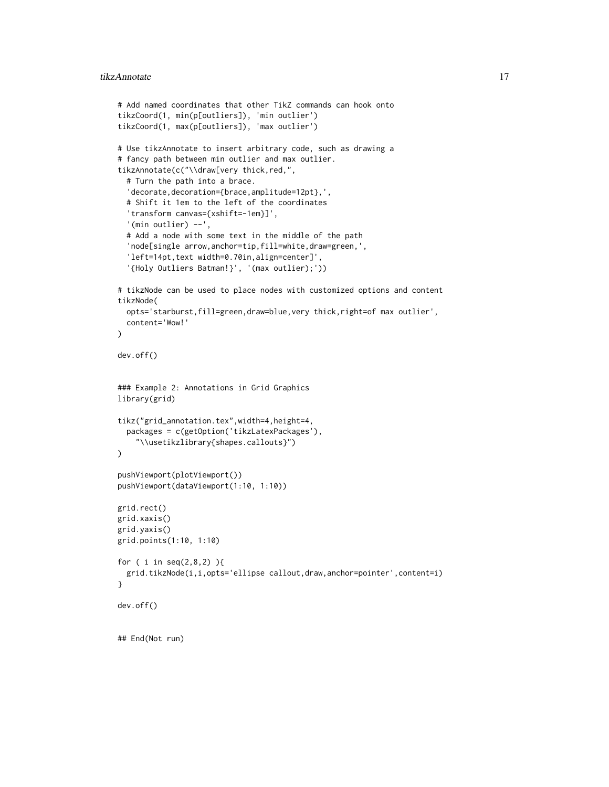```
# Add named coordinates that other TikZ commands can hook onto
tikzCoord(1, min(p[outliers]), 'min outlier')
tikzCoord(1, max(p[outliers]), 'max outlier')
# Use tikzAnnotate to insert arbitrary code, such as drawing a
# fancy path between min outlier and max outlier.
tikzAnnotate(c("\\draw[very thick,red,",
  # Turn the path into a brace.
  'decorate,decoration={brace,amplitude=12pt},',
  # Shift it 1em to the left of the coordinates
  'transform canvas={xshift=-1em}]',
  '(min outlier) --',
  # Add a node with some text in the middle of the path
  'node[single arrow,anchor=tip,fill=white,draw=green,',
  'left=14pt, text width=0.70in, align=center]',
  '{Holy Outliers Batman!}', '(max outlier);'))
# tikzNode can be used to place nodes with customized options and content
tikzNode(
  opts='starburst,fill=green,draw=blue,very thick,right=of max outlier',
  content='Wow!'
\lambdadev.off()
### Example 2: Annotations in Grid Graphics
library(grid)
tikz("grid_annotation.tex",width=4,height=4,
  packages = c(getOption('tikzLatexPackages'),
    "\\usetikzlibrary{shapes.callouts}")
)
pushViewport(plotViewport())
pushViewport(dataViewport(1:10, 1:10))
grid.rect()
grid.xaxis()
grid.yaxis()
grid.points(1:10, 1:10)
for ( i in seq(2,8,2) ){
  grid.tikzNode(i,i,opts='ellipse callout,draw,anchor=pointer',content=i)
}
dev.off()
## End(Not run)
```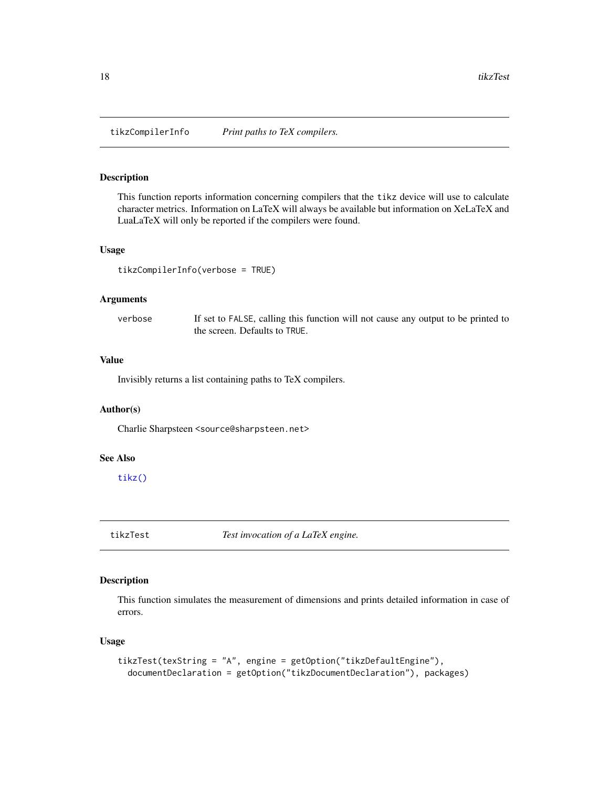<span id="page-17-0"></span>tikzCompilerInfo *Print paths to TeX compilers.*

## Description

This function reports information concerning compilers that the tikz device will use to calculate character metrics. Information on LaTeX will always be available but information on XeLaTeX and LuaLaTeX will only be reported if the compilers were found.

#### Usage

tikzCompilerInfo(verbose = TRUE)

### Arguments

verbose If set to FALSE, calling this function will not cause any output to be printed to the screen. Defaults to TRUE.

## Value

Invisibly returns a list containing paths to TeX compilers.

## Author(s)

Charlie Sharpsteen <source@sharpsteen.net>

## See Also

[tikz\(\)](#page-9-1)

tikzTest *Test invocation of a LaTeX engine.*

## Description

This function simulates the measurement of dimensions and prints detailed information in case of errors.

#### Usage

```
tikzTest(texString = "A", engine = getOption("tikzDefaultEngine"),
  documentDeclaration = getOption("tikzDocumentDeclaration"), packages)
```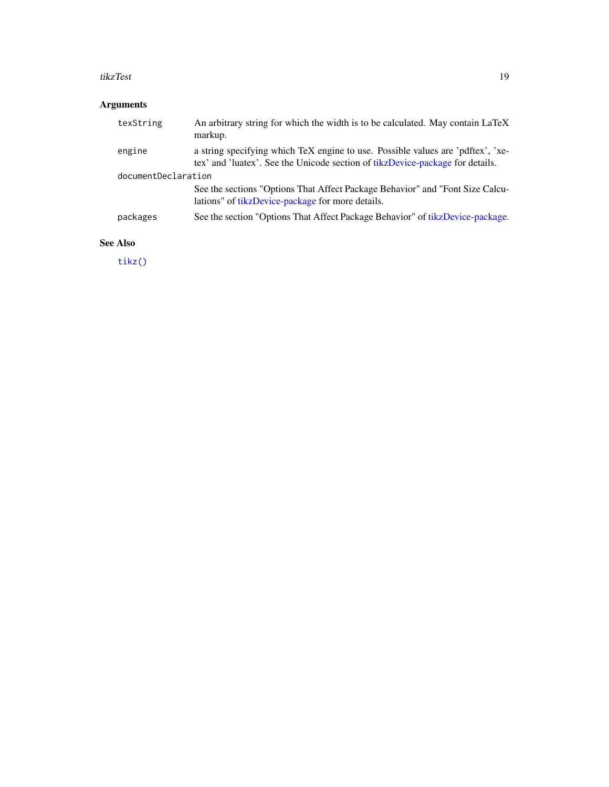#### <span id="page-18-0"></span>tikzTest 19

## Arguments

| texString           | An arbitrary string for which the width is to be calculated. May contain LaTeX<br>markup.                                                                        |
|---------------------|------------------------------------------------------------------------------------------------------------------------------------------------------------------|
| engine              | a string specifying which TeX engine to use. Possible values are 'pdftex', 'xe-<br>tex' and 'luatex'. See the Unicode section of tikzDevice-package for details. |
| documentDeclaration |                                                                                                                                                                  |
|                     | See the sections "Options That Affect Package Behavior" and "Font Size Calcu-<br>lations" of tikzDevice-package for more details.                                |
| packages            | See the section "Options That Affect Package Behavior" of tikzDevice-package.                                                                                    |

## See Also

[tikz\(\)](#page-9-1)